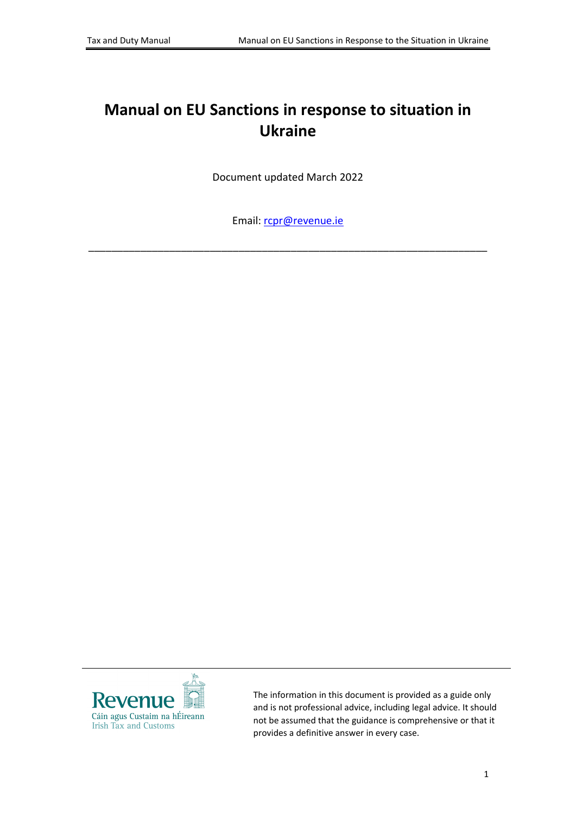# **Manual on EU Sanctions in response to situation in Ukraine**

Document updated March 2022

Email: [rcpr@revenue.ie](mailto:rcpr@revenue.ie)

\_\_\_\_\_\_\_\_\_\_\_\_\_\_\_\_\_\_\_\_\_\_\_\_\_\_\_\_\_\_\_\_\_\_\_\_\_\_\_\_\_\_\_\_\_\_\_\_\_\_\_\_\_\_\_\_\_\_\_\_\_\_\_\_\_\_\_\_\_



The information in this document is provided as a guide only and is not professional advice, including legal advice. It should not be assumed that the guidance is comprehensive or that it provides a definitive answer in every case.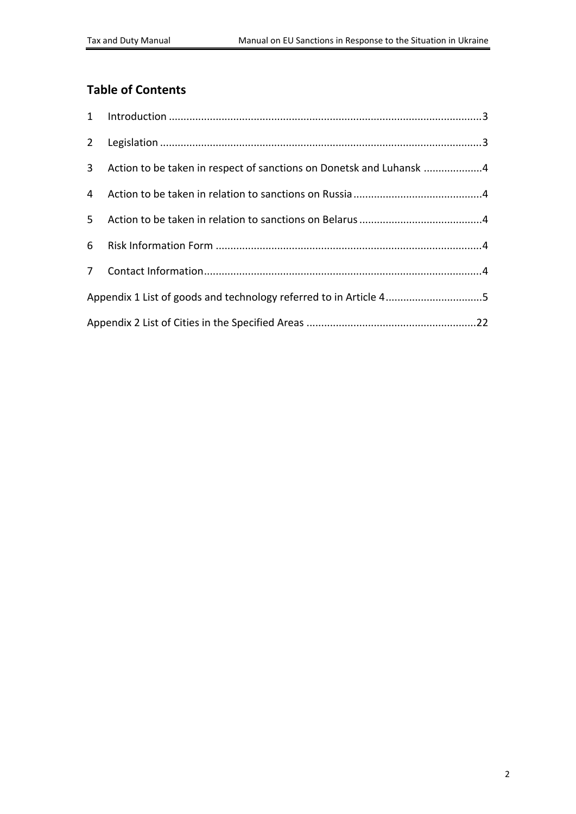#### **Table of Contents**

| 3 <sup>7</sup> | Action to be taken in respect of sanctions on Donetsk and Luhansk 4 |  |  |
|----------------|---------------------------------------------------------------------|--|--|
|                |                                                                     |  |  |
| 5 <sub>1</sub> |                                                                     |  |  |
|                |                                                                     |  |  |
|                |                                                                     |  |  |
|                | Appendix 1 List of goods and technology referred to in Article 45   |  |  |
|                |                                                                     |  |  |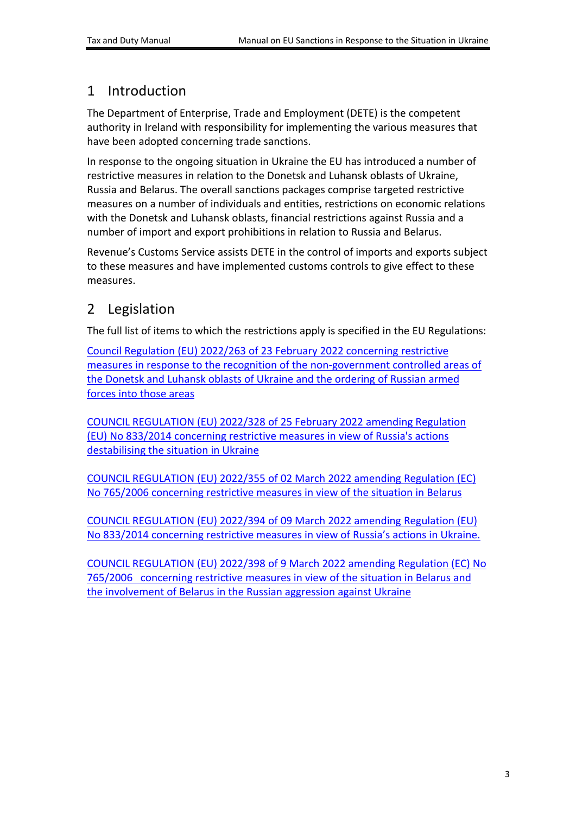#### <span id="page-2-0"></span>1 Introduction

The Department of Enterprise, Trade and Employment (DETE) is the competent authority in Ireland with responsibility for implementing the various measures that have been adopted concerning trade sanctions.

In response to the ongoing situation in Ukraine the EU has introduced a number of restrictive measures in relation to the Donetsk and Luhansk oblasts of Ukraine, Russia and Belarus. The overall sanctions packages comprise targeted restrictive measures on a number of individuals and entities, restrictions on economic relations with the Donetsk and Luhansk oblasts, financial restrictions against Russia and a number of import and export prohibitions in relation to Russia and Belarus.

Revenue's Customs Service assists DETE in the control of imports and exports subject to these measures and have implemented customs controls to give effect to these measures.

### <span id="page-2-1"></span>2 Legislation

The full list of items to which the restrictions apply is specified in the EU Regulations:

[Council](https://eur-lex.europa.eu/legal-content/EN/TXT/PDF/?uri=OJ:L:2022:042I:FULL&from=EN) [Regulation](https://eur-lex.europa.eu/legal-content/EN/TXT/PDF/?uri=OJ:L:2022:042I:FULL&from=EN) [\(EU\)](https://eur-lex.europa.eu/legal-content/EN/TXT/PDF/?uri=OJ:L:2022:042I:FULL&from=EN) [2022/263](https://eur-lex.europa.eu/legal-content/EN/TXT/PDF/?uri=OJ:L:2022:042I:FULL&from=EN) [of](https://eur-lex.europa.eu/legal-content/EN/TXT/PDF/?uri=OJ:L:2022:042I:FULL&from=EN) [23](https://eur-lex.europa.eu/legal-content/EN/TXT/PDF/?uri=OJ:L:2022:042I:FULL&from=EN) [February](https://eur-lex.europa.eu/legal-content/EN/TXT/PDF/?uri=OJ:L:2022:042I:FULL&from=EN) [2022](https://eur-lex.europa.eu/legal-content/EN/TXT/PDF/?uri=OJ:L:2022:042I:FULL&from=EN) [concerning](https://eur-lex.europa.eu/legal-content/EN/TXT/PDF/?uri=OJ:L:2022:042I:FULL&from=EN) [restrictive](https://eur-lex.europa.eu/legal-content/EN/TXT/PDF/?uri=OJ:L:2022:042I:FULL&from=EN) [measures](https://eur-lex.europa.eu/legal-content/EN/TXT/PDF/?uri=OJ:L:2022:042I:FULL&from=EN) [in](https://eur-lex.europa.eu/legal-content/EN/TXT/PDF/?uri=OJ:L:2022:042I:FULL&from=EN) [response](https://eur-lex.europa.eu/legal-content/EN/TXT/PDF/?uri=OJ:L:2022:042I:FULL&from=EN) [to](https://eur-lex.europa.eu/legal-content/EN/TXT/PDF/?uri=OJ:L:2022:042I:FULL&from=EN) [the](https://eur-lex.europa.eu/legal-content/EN/TXT/PDF/?uri=OJ:L:2022:042I:FULL&from=EN) [recognition](https://eur-lex.europa.eu/legal-content/EN/TXT/PDF/?uri=OJ:L:2022:042I:FULL&from=EN) [of](https://eur-lex.europa.eu/legal-content/EN/TXT/PDF/?uri=OJ:L:2022:042I:FULL&from=EN) [the](https://eur-lex.europa.eu/legal-content/EN/TXT/PDF/?uri=OJ:L:2022:042I:FULL&from=EN) [non-government](https://eur-lex.europa.eu/legal-content/EN/TXT/PDF/?uri=OJ:L:2022:042I:FULL&from=EN) [controlled](https://eur-lex.europa.eu/legal-content/EN/TXT/PDF/?uri=OJ:L:2022:042I:FULL&from=EN) [areas](https://eur-lex.europa.eu/legal-content/EN/TXT/PDF/?uri=OJ:L:2022:042I:FULL&from=EN) [of](https://eur-lex.europa.eu/legal-content/EN/TXT/PDF/?uri=OJ:L:2022:042I:FULL&from=EN) [the](https://eur-lex.europa.eu/legal-content/EN/TXT/PDF/?uri=OJ:L:2022:042I:FULL&from=EN) [Donetsk](https://eur-lex.europa.eu/legal-content/EN/TXT/PDF/?uri=OJ:L:2022:042I:FULL&from=EN) [and](https://eur-lex.europa.eu/legal-content/EN/TXT/PDF/?uri=OJ:L:2022:042I:FULL&from=EN) [Luhansk](https://eur-lex.europa.eu/legal-content/EN/TXT/PDF/?uri=OJ:L:2022:042I:FULL&from=EN) [oblasts](https://eur-lex.europa.eu/legal-content/EN/TXT/PDF/?uri=OJ:L:2022:042I:FULL&from=EN) [of](https://eur-lex.europa.eu/legal-content/EN/TXT/PDF/?uri=OJ:L:2022:042I:FULL&from=EN) [Ukraine](https://eur-lex.europa.eu/legal-content/EN/TXT/PDF/?uri=OJ:L:2022:042I:FULL&from=EN) [and](https://eur-lex.europa.eu/legal-content/EN/TXT/PDF/?uri=OJ:L:2022:042I:FULL&from=EN) [the](https://eur-lex.europa.eu/legal-content/EN/TXT/PDF/?uri=OJ:L:2022:042I:FULL&from=EN) [ordering](https://eur-lex.europa.eu/legal-content/EN/TXT/PDF/?uri=OJ:L:2022:042I:FULL&from=EN) [of](https://eur-lex.europa.eu/legal-content/EN/TXT/PDF/?uri=OJ:L:2022:042I:FULL&from=EN) [Russian](https://eur-lex.europa.eu/legal-content/EN/TXT/PDF/?uri=OJ:L:2022:042I:FULL&from=EN) [armed](https://eur-lex.europa.eu/legal-content/EN/TXT/PDF/?uri=OJ:L:2022:042I:FULL&from=EN) [forces](https://eur-lex.europa.eu/legal-content/EN/TXT/PDF/?uri=OJ:L:2022:042I:FULL&from=EN) [into](https://eur-lex.europa.eu/legal-content/EN/TXT/PDF/?uri=OJ:L:2022:042I:FULL&from=EN) [those](https://eur-lex.europa.eu/legal-content/EN/TXT/PDF/?uri=OJ:L:2022:042I:FULL&from=EN) [areas](https://eur-lex.europa.eu/legal-content/EN/TXT/PDF/?uri=OJ:L:2022:042I:FULL&from=EN)

[COUNCIL](https://eur-lex.europa.eu/legal-content/EN/TXT/PDF/?uri=CELEX:32022R0328) [REGULATION](https://eur-lex.europa.eu/legal-content/EN/TXT/PDF/?uri=CELEX:32022R0328) [\(EU\)](https://eur-lex.europa.eu/legal-content/EN/TXT/PDF/?uri=CELEX:32022R0328) [2022/328](https://eur-lex.europa.eu/legal-content/EN/TXT/PDF/?uri=CELEX:32022R0328) [of](https://eur-lex.europa.eu/legal-content/EN/TXT/PDF/?uri=CELEX:32022R0328) [25](https://eur-lex.europa.eu/legal-content/EN/TXT/PDF/?uri=CELEX:32022R0328) [February](https://eur-lex.europa.eu/legal-content/EN/TXT/PDF/?uri=CELEX:32022R0328) [2022](https://eur-lex.europa.eu/legal-content/EN/TXT/PDF/?uri=CELEX:32022R0328) [amending](https://eur-lex.europa.eu/legal-content/EN/TXT/PDF/?uri=CELEX:32022R0328) [Regulation](https://eur-lex.europa.eu/legal-content/EN/TXT/PDF/?uri=CELEX:32022R0328) [\(EU\)](https://eur-lex.europa.eu/legal-content/EN/TXT/PDF/?uri=CELEX:32022R0328) [No](https://eur-lex.europa.eu/legal-content/EN/TXT/PDF/?uri=CELEX:32022R0328) [833/2014](https://eur-lex.europa.eu/legal-content/EN/TXT/PDF/?uri=CELEX:32022R0328) [concerning](https://eur-lex.europa.eu/legal-content/EN/TXT/PDF/?uri=CELEX:32022R0328) [restrictive](https://eur-lex.europa.eu/legal-content/EN/TXT/PDF/?uri=CELEX:32022R0328) [measures](https://eur-lex.europa.eu/legal-content/EN/TXT/PDF/?uri=CELEX:32022R0328) [in](https://eur-lex.europa.eu/legal-content/EN/TXT/PDF/?uri=CELEX:32022R0328) [view](https://eur-lex.europa.eu/legal-content/EN/TXT/PDF/?uri=CELEX:32022R0328) [of](https://eur-lex.europa.eu/legal-content/EN/TXT/PDF/?uri=CELEX:32022R0328) [Russia's](https://eur-lex.europa.eu/legal-content/EN/TXT/PDF/?uri=CELEX:32022R0328) [actions](https://eur-lex.europa.eu/legal-content/EN/TXT/PDF/?uri=CELEX:32022R0328) [destabilising](https://eur-lex.europa.eu/legal-content/EN/TXT/PDF/?uri=CELEX:32022R0328) [the](https://eur-lex.europa.eu/legal-content/EN/TXT/PDF/?uri=CELEX:32022R0328) [situation](https://eur-lex.europa.eu/legal-content/EN/TXT/PDF/?uri=CELEX:32022R0328) [in](https://eur-lex.europa.eu/legal-content/EN/TXT/PDF/?uri=CELEX:32022R0328) [Ukraine](https://eur-lex.europa.eu/legal-content/EN/TXT/PDF/?uri=CELEX:32022R0328)

[COUNCIL](https://eur-lex.europa.eu/legal-content/EN/TXT/PDF/?uri=CELEX:32022R0355) [REGULATION](https://eur-lex.europa.eu/legal-content/EN/TXT/PDF/?uri=CELEX:32022R0355) [\(EU\)](https://eur-lex.europa.eu/legal-content/EN/TXT/PDF/?uri=CELEX:32022R0355) [2022/355](https://eur-lex.europa.eu/legal-content/EN/TXT/PDF/?uri=CELEX:32022R0355) [of](https://eur-lex.europa.eu/legal-content/EN/TXT/PDF/?uri=CELEX:32022R0355) [02](https://eur-lex.europa.eu/legal-content/EN/TXT/PDF/?uri=CELEX:32022R0355) [March](https://eur-lex.europa.eu/legal-content/EN/TXT/PDF/?uri=CELEX:32022R0355) [2022](https://eur-lex.europa.eu/legal-content/EN/TXT/PDF/?uri=CELEX:32022R0355) [amending](https://eur-lex.europa.eu/legal-content/EN/TXT/PDF/?uri=CELEX:32022R0355) [Regulation](https://eur-lex.europa.eu/legal-content/EN/TXT/PDF/?uri=CELEX:32022R0355) [\(EC\)](https://eur-lex.europa.eu/legal-content/EN/TXT/PDF/?uri=CELEX:32022R0355) [No](https://eur-lex.europa.eu/legal-content/EN/TXT/PDF/?uri=CELEX:32022R0355) [765/2006](https://eur-lex.europa.eu/legal-content/EN/TXT/PDF/?uri=CELEX:32022R0355) [concerning](https://eur-lex.europa.eu/legal-content/EN/TXT/PDF/?uri=CELEX:32022R0355) [restrictive](https://eur-lex.europa.eu/legal-content/EN/TXT/PDF/?uri=CELEX:32022R0355) [measures](https://eur-lex.europa.eu/legal-content/EN/TXT/PDF/?uri=CELEX:32022R0355) [in](https://eur-lex.europa.eu/legal-content/EN/TXT/PDF/?uri=CELEX:32022R0355) [view](https://eur-lex.europa.eu/legal-content/EN/TXT/PDF/?uri=CELEX:32022R0355) [of](https://eur-lex.europa.eu/legal-content/EN/TXT/PDF/?uri=CELEX:32022R0355) [the](https://eur-lex.europa.eu/legal-content/EN/TXT/PDF/?uri=CELEX:32022R0355) [situation](https://eur-lex.europa.eu/legal-content/EN/TXT/PDF/?uri=CELEX:32022R0355) [in](https://eur-lex.europa.eu/legal-content/EN/TXT/PDF/?uri=CELEX:32022R0355) [Belarus](https://eur-lex.europa.eu/legal-content/EN/TXT/PDF/?uri=CELEX:32022R0355)

[COUNCIL](https://eur-lex.europa.eu/legal-content/EN/TXT/PDF/?uri=CELEX:32022R0394&from=EN) [REGULATION](https://eur-lex.europa.eu/legal-content/EN/TXT/PDF/?uri=CELEX:32022R0394&from=EN) [\(EU\)](https://eur-lex.europa.eu/legal-content/EN/TXT/PDF/?uri=CELEX:32022R0394&from=EN) [2022/394](https://eur-lex.europa.eu/legal-content/EN/TXT/PDF/?uri=CELEX:32022R0394&from=EN) [of](https://eur-lex.europa.eu/legal-content/EN/TXT/PDF/?uri=CELEX:32022R0394&from=EN) [09](https://eur-lex.europa.eu/legal-content/EN/TXT/PDF/?uri=CELEX:32022R0394&from=EN) [March](https://eur-lex.europa.eu/legal-content/EN/TXT/PDF/?uri=CELEX:32022R0394&from=EN) [2022](https://eur-lex.europa.eu/legal-content/EN/TXT/PDF/?uri=CELEX:32022R0394&from=EN) [amending](https://eur-lex.europa.eu/legal-content/EN/TXT/PDF/?uri=CELEX:32022R0394&from=EN) [Regulation](https://eur-lex.europa.eu/legal-content/EN/TXT/PDF/?uri=CELEX:32022R0394&from=EN) [\(EU\)](https://eur-lex.europa.eu/legal-content/EN/TXT/PDF/?uri=CELEX:32022R0394&from=EN) [No](https://eur-lex.europa.eu/legal-content/EN/TXT/PDF/?uri=CELEX:32022R0394&from=EN) [833/2014](https://eur-lex.europa.eu/legal-content/EN/TXT/PDF/?uri=CELEX:32022R0394&from=EN) [concerning](https://eur-lex.europa.eu/legal-content/EN/TXT/PDF/?uri=CELEX:32022R0394&from=EN) [restrictive](https://eur-lex.europa.eu/legal-content/EN/TXT/PDF/?uri=CELEX:32022R0394&from=EN) [measures](https://eur-lex.europa.eu/legal-content/EN/TXT/PDF/?uri=CELEX:32022R0394&from=EN) [in](https://eur-lex.europa.eu/legal-content/EN/TXT/PDF/?uri=CELEX:32022R0394&from=EN) [view](https://eur-lex.europa.eu/legal-content/EN/TXT/PDF/?uri=CELEX:32022R0394&from=EN) [of](https://eur-lex.europa.eu/legal-content/EN/TXT/PDF/?uri=CELEX:32022R0394&from=EN) [Russia's](https://eur-lex.europa.eu/legal-content/EN/TXT/PDF/?uri=CELEX:32022R0394&from=EN) [actions](https://eur-lex.europa.eu/legal-content/EN/TXT/PDF/?uri=CELEX:32022R0394&from=EN) [in](https://eur-lex.europa.eu/legal-content/EN/TXT/PDF/?uri=CELEX:32022R0394&from=EN) [Ukraine.](https://eur-lex.europa.eu/legal-content/EN/TXT/PDF/?uri=CELEX:32022R0394&from=EN) 

[COUNCIL](https://eur-lex.europa.eu/legal-content/EN/TXT/PDF/?uri=CELEX:32022R0398&qid=1647009917380&from=EN) [REGULATION](https://eur-lex.europa.eu/legal-content/EN/TXT/PDF/?uri=CELEX:32022R0398&qid=1647009917380&from=EN) [\(EU\)](https://eur-lex.europa.eu/legal-content/EN/TXT/PDF/?uri=CELEX:32022R0398&qid=1647009917380&from=EN) [2022/398](https://eur-lex.europa.eu/legal-content/EN/TXT/PDF/?uri=CELEX:32022R0398&qid=1647009917380&from=EN) [of](https://eur-lex.europa.eu/legal-content/EN/TXT/PDF/?uri=CELEX:32022R0398&qid=1647009917380&from=EN) [9](https://eur-lex.europa.eu/legal-content/EN/TXT/PDF/?uri=CELEX:32022R0398&qid=1647009917380&from=EN) [March](https://eur-lex.europa.eu/legal-content/EN/TXT/PDF/?uri=CELEX:32022R0398&qid=1647009917380&from=EN) [2022](https://eur-lex.europa.eu/legal-content/EN/TXT/PDF/?uri=CELEX:32022R0398&qid=1647009917380&from=EN) [amending](https://eur-lex.europa.eu/legal-content/EN/TXT/PDF/?uri=CELEX:32022R0398&qid=1647009917380&from=EN) [Regulation](https://eur-lex.europa.eu/legal-content/EN/TXT/PDF/?uri=CELEX:32022R0398&qid=1647009917380&from=EN) [\(EC\)](https://eur-lex.europa.eu/legal-content/EN/TXT/PDF/?uri=CELEX:32022R0398&qid=1647009917380&from=EN) [No](https://eur-lex.europa.eu/legal-content/EN/TXT/PDF/?uri=CELEX:32022R0398&qid=1647009917380&from=EN) [765/2006 concerning](https://eur-lex.europa.eu/legal-content/EN/TXT/PDF/?uri=CELEX:32022R0398&qid=1647009917380&from=EN) [restrictive](https://eur-lex.europa.eu/legal-content/EN/TXT/PDF/?uri=CELEX:32022R0398&qid=1647009917380&from=EN) [measures](https://eur-lex.europa.eu/legal-content/EN/TXT/PDF/?uri=CELEX:32022R0398&qid=1647009917380&from=EN) [in](https://eur-lex.europa.eu/legal-content/EN/TXT/PDF/?uri=CELEX:32022R0398&qid=1647009917380&from=EN) [view](https://eur-lex.europa.eu/legal-content/EN/TXT/PDF/?uri=CELEX:32022R0398&qid=1647009917380&from=EN) [of](https://eur-lex.europa.eu/legal-content/EN/TXT/PDF/?uri=CELEX:32022R0398&qid=1647009917380&from=EN) [the](https://eur-lex.europa.eu/legal-content/EN/TXT/PDF/?uri=CELEX:32022R0398&qid=1647009917380&from=EN) [situation](https://eur-lex.europa.eu/legal-content/EN/TXT/PDF/?uri=CELEX:32022R0398&qid=1647009917380&from=EN) [in](https://eur-lex.europa.eu/legal-content/EN/TXT/PDF/?uri=CELEX:32022R0398&qid=1647009917380&from=EN) [Belarus](https://eur-lex.europa.eu/legal-content/EN/TXT/PDF/?uri=CELEX:32022R0398&qid=1647009917380&from=EN) [and](https://eur-lex.europa.eu/legal-content/EN/TXT/PDF/?uri=CELEX:32022R0398&qid=1647009917380&from=EN) [the](https://eur-lex.europa.eu/legal-content/EN/TXT/PDF/?uri=CELEX:32022R0398&qid=1647009917380&from=EN) [involvement](https://eur-lex.europa.eu/legal-content/EN/TXT/PDF/?uri=CELEX:32022R0398&qid=1647009917380&from=EN) [of](https://eur-lex.europa.eu/legal-content/EN/TXT/PDF/?uri=CELEX:32022R0398&qid=1647009917380&from=EN) [Belarus](https://eur-lex.europa.eu/legal-content/EN/TXT/PDF/?uri=CELEX:32022R0398&qid=1647009917380&from=EN) [in](https://eur-lex.europa.eu/legal-content/EN/TXT/PDF/?uri=CELEX:32022R0398&qid=1647009917380&from=EN) [the](https://eur-lex.europa.eu/legal-content/EN/TXT/PDF/?uri=CELEX:32022R0398&qid=1647009917380&from=EN) [Russian](https://eur-lex.europa.eu/legal-content/EN/TXT/PDF/?uri=CELEX:32022R0398&qid=1647009917380&from=EN) [aggression](https://eur-lex.europa.eu/legal-content/EN/TXT/PDF/?uri=CELEX:32022R0398&qid=1647009917380&from=EN) [against](https://eur-lex.europa.eu/legal-content/EN/TXT/PDF/?uri=CELEX:32022R0398&qid=1647009917380&from=EN) [Ukraine](https://eur-lex.europa.eu/legal-content/EN/TXT/PDF/?uri=CELEX:32022R0398&qid=1647009917380&from=EN)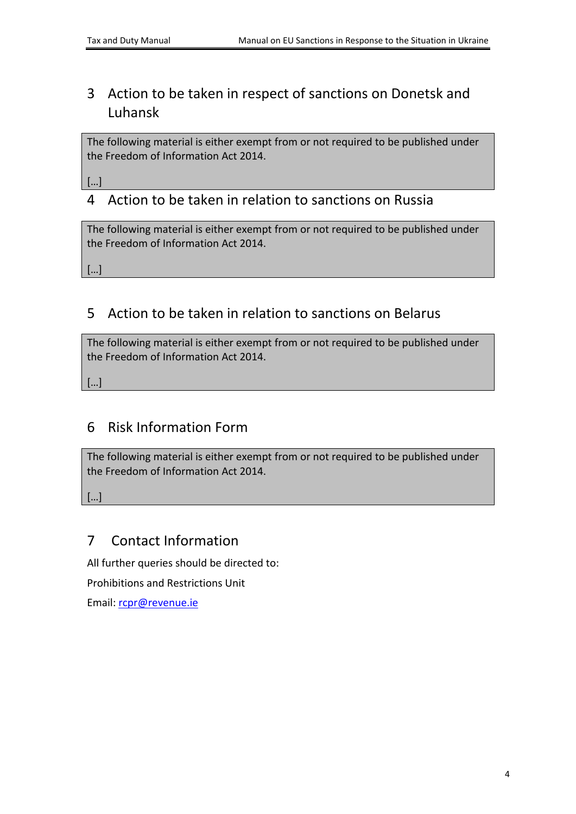## <span id="page-3-0"></span>3 Action to be taken in respect of sanctions on Donetsk and Luhansk

The following material is either exempt from or not required to be published under the Freedom of Information Act 2014.

[…]

### <span id="page-3-1"></span>4 Action to be taken in relation to sanctions on Russia

The following material is either exempt from or not required to be published under the Freedom of Information Act 2014.

[…]

### <span id="page-3-2"></span>5 Action to be taken in relation to sanctions on Belarus

The following material is either exempt from or not required to be published under the Freedom of Information Act 2014.

[…]

### <span id="page-3-3"></span>6 Risk Information Form

The following material is either exempt from or not required to be published under the Freedom of Information Act 2014.

[…]

#### <span id="page-3-4"></span>7 Contact Information

All further queries should be directed to:

Prohibitions and Restrictions Unit

Email: [rcpr@revenue.ie](mailto:rcpr@revenue.ie)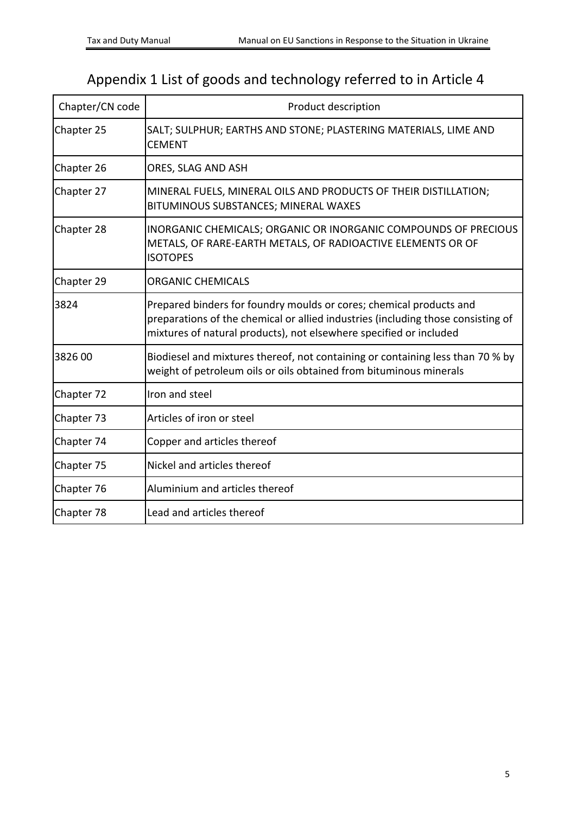# <span id="page-4-0"></span>Appendix 1 List of goods and technology referred to in Article 4

| Chapter/CN code | Product description                                                                                                                                                                                                           |
|-----------------|-------------------------------------------------------------------------------------------------------------------------------------------------------------------------------------------------------------------------------|
| Chapter 25      | SALT; SULPHUR; EARTHS AND STONE; PLASTERING MATERIALS, LIME AND<br><b>CEMENT</b>                                                                                                                                              |
| Chapter 26      | ORES, SLAG AND ASH                                                                                                                                                                                                            |
| Chapter 27      | MINERAL FUELS, MINERAL OILS AND PRODUCTS OF THEIR DISTILLATION;<br>BITUMINOUS SUBSTANCES; MINERAL WAXES                                                                                                                       |
| Chapter 28      | <b>INORGANIC CHEMICALS; ORGANIC OR INORGANIC COMPOUNDS OF PRECIOUS</b><br>METALS, OF RARE-EARTH METALS, OF RADIOACTIVE ELEMENTS OR OF<br><b>ISOTOPES</b>                                                                      |
| Chapter 29      | <b>ORGANIC CHEMICALS</b>                                                                                                                                                                                                      |
| 3824            | Prepared binders for foundry moulds or cores; chemical products and<br>preparations of the chemical or allied industries (including those consisting of<br>mixtures of natural products), not elsewhere specified or included |
| 3826 00         | Biodiesel and mixtures thereof, not containing or containing less than 70 % by<br>weight of petroleum oils or oils obtained from bituminous minerals                                                                          |
| Chapter 72      | Iron and steel                                                                                                                                                                                                                |
| Chapter 73      | Articles of iron or steel                                                                                                                                                                                                     |
| Chapter 74      | Copper and articles thereof                                                                                                                                                                                                   |
| Chapter 75      | Nickel and articles thereof                                                                                                                                                                                                   |
| Chapter 76      | Aluminium and articles thereof                                                                                                                                                                                                |
| Chapter 78      | Lead and articles thereof                                                                                                                                                                                                     |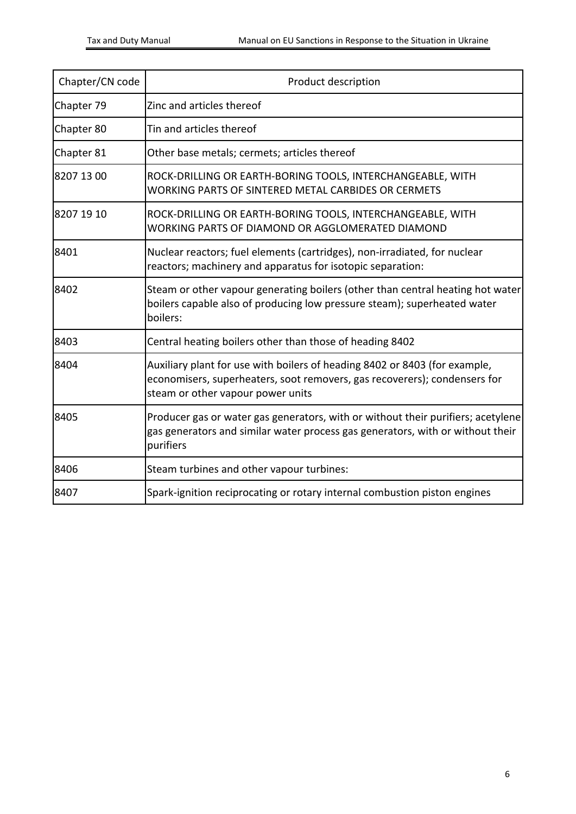| Chapter/CN code | Product description                                                                                                                                                                          |
|-----------------|----------------------------------------------------------------------------------------------------------------------------------------------------------------------------------------------|
| Chapter 79      | Zinc and articles thereof                                                                                                                                                                    |
| Chapter 80      | Tin and articles thereof                                                                                                                                                                     |
| Chapter 81      | Other base metals; cermets; articles thereof                                                                                                                                                 |
| 8207 13 00      | ROCK-DRILLING OR EARTH-BORING TOOLS, INTERCHANGEABLE, WITH<br>WORKING PARTS OF SINTERED METAL CARBIDES OR CERMETS                                                                            |
| 8207 19 10      | ROCK-DRILLING OR EARTH-BORING TOOLS, INTERCHANGEABLE, WITH<br>WORKING PARTS OF DIAMOND OR AGGLOMERATED DIAMOND                                                                               |
| 8401            | Nuclear reactors; fuel elements (cartridges), non-irradiated, for nuclear<br>reactors; machinery and apparatus for isotopic separation:                                                      |
| 8402            | Steam or other vapour generating boilers (other than central heating hot water<br>boilers capable also of producing low pressure steam); superheated water<br>boilers:                       |
| 8403            | Central heating boilers other than those of heading 8402                                                                                                                                     |
| 8404            | Auxiliary plant for use with boilers of heading 8402 or 8403 (for example,<br>economisers, superheaters, soot removers, gas recoverers); condensers for<br>steam or other vapour power units |
| 8405            | Producer gas or water gas generators, with or without their purifiers; acetylene<br>gas generators and similar water process gas generators, with or without their<br>purifiers              |
| 8406            | Steam turbines and other vapour turbines:                                                                                                                                                    |
| 8407            | Spark-ignition reciprocating or rotary internal combustion piston engines                                                                                                                    |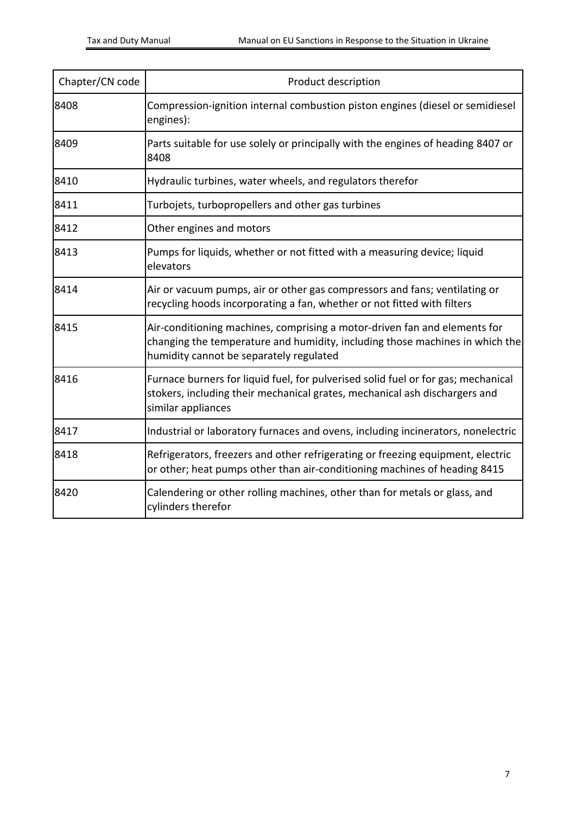| Chapter/CN code | Product description                                                                                                                                                                                  |
|-----------------|------------------------------------------------------------------------------------------------------------------------------------------------------------------------------------------------------|
| 8408            | Compression-ignition internal combustion piston engines (diesel or semidiesel<br>engines):                                                                                                           |
| 8409            | Parts suitable for use solely or principally with the engines of heading 8407 or<br>8408                                                                                                             |
| 8410            | Hydraulic turbines, water wheels, and regulators therefor                                                                                                                                            |
| 8411            | Turbojets, turbopropellers and other gas turbines                                                                                                                                                    |
| 8412            | Other engines and motors                                                                                                                                                                             |
| 8413            | Pumps for liquids, whether or not fitted with a measuring device; liquid<br>elevators                                                                                                                |
| 8414            | Air or vacuum pumps, air or other gas compressors and fans; ventilating or<br>recycling hoods incorporating a fan, whether or not fitted with filters                                                |
| 8415            | Air-conditioning machines, comprising a motor-driven fan and elements for<br>changing the temperature and humidity, including those machines in which the<br>humidity cannot be separately regulated |
| 8416            | Furnace burners for liquid fuel, for pulverised solid fuel or for gas; mechanical<br>stokers, including their mechanical grates, mechanical ash dischargers and<br>similar appliances                |
| 8417            | Industrial or laboratory furnaces and ovens, including incinerators, nonelectric                                                                                                                     |
| 8418            | Refrigerators, freezers and other refrigerating or freezing equipment, electric<br>or other; heat pumps other than air-conditioning machines of heading 8415                                         |
| 8420            | Calendering or other rolling machines, other than for metals or glass, and<br>cylinders therefor                                                                                                     |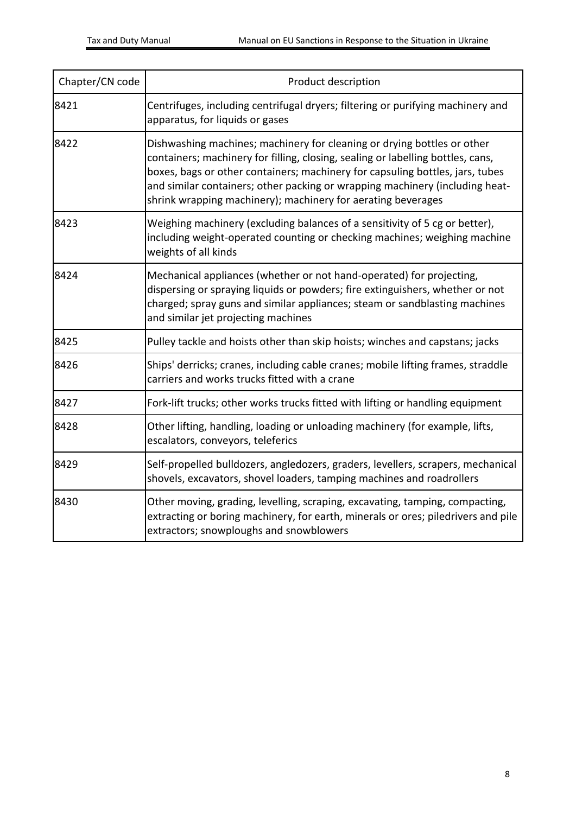| Chapter/CN code | Product description                                                                                                                                                                                                                                                                                                                                                                         |
|-----------------|---------------------------------------------------------------------------------------------------------------------------------------------------------------------------------------------------------------------------------------------------------------------------------------------------------------------------------------------------------------------------------------------|
| 8421            | Centrifuges, including centrifugal dryers; filtering or purifying machinery and<br>apparatus, for liquids or gases                                                                                                                                                                                                                                                                          |
| 8422            | Dishwashing machines; machinery for cleaning or drying bottles or other<br>containers; machinery for filling, closing, sealing or labelling bottles, cans,<br>boxes, bags or other containers; machinery for capsuling bottles, jars, tubes<br>and similar containers; other packing or wrapping machinery (including heat-<br>shrink wrapping machinery); machinery for aerating beverages |
| 8423            | Weighing machinery (excluding balances of a sensitivity of 5 cg or better),<br>including weight-operated counting or checking machines; weighing machine<br>weights of all kinds                                                                                                                                                                                                            |
| 8424            | Mechanical appliances (whether or not hand-operated) for projecting,<br>dispersing or spraying liquids or powders; fire extinguishers, whether or not<br>charged; spray guns and similar appliances; steam or sandblasting machines<br>and similar jet projecting machines                                                                                                                  |
| 8425            | Pulley tackle and hoists other than skip hoists; winches and capstans; jacks                                                                                                                                                                                                                                                                                                                |
| 8426            | Ships' derricks; cranes, including cable cranes; mobile lifting frames, straddle<br>carriers and works trucks fitted with a crane                                                                                                                                                                                                                                                           |
| 8427            | Fork-lift trucks; other works trucks fitted with lifting or handling equipment                                                                                                                                                                                                                                                                                                              |
| 8428            | Other lifting, handling, loading or unloading machinery (for example, lifts,<br>escalators, conveyors, teleferics                                                                                                                                                                                                                                                                           |
| 8429            | Self-propelled bulldozers, angledozers, graders, levellers, scrapers, mechanical<br>shovels, excavators, shovel loaders, tamping machines and roadrollers                                                                                                                                                                                                                                   |
| 8430            | Other moving, grading, levelling, scraping, excavating, tamping, compacting,<br>extracting or boring machinery, for earth, minerals or ores; piledrivers and pile<br>extractors; snowploughs and snowblowers                                                                                                                                                                                |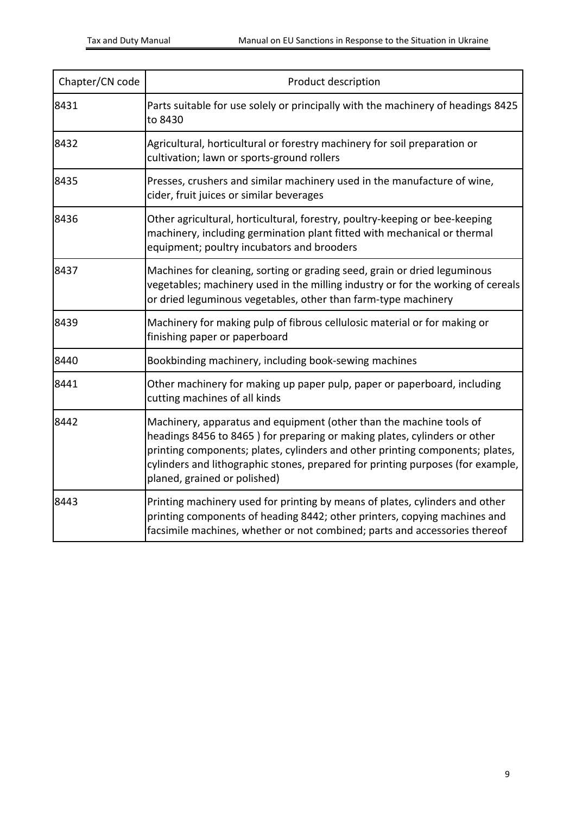| Chapter/CN code | Product description                                                                                                                                                                                                                                                                                                                                  |
|-----------------|------------------------------------------------------------------------------------------------------------------------------------------------------------------------------------------------------------------------------------------------------------------------------------------------------------------------------------------------------|
| 8431            | Parts suitable for use solely or principally with the machinery of headings 8425<br>to 8430                                                                                                                                                                                                                                                          |
| 8432            | Agricultural, horticultural or forestry machinery for soil preparation or<br>cultivation; lawn or sports-ground rollers                                                                                                                                                                                                                              |
| 8435            | Presses, crushers and similar machinery used in the manufacture of wine,<br>cider, fruit juices or similar beverages                                                                                                                                                                                                                                 |
| 8436            | Other agricultural, horticultural, forestry, poultry-keeping or bee-keeping<br>machinery, including germination plant fitted with mechanical or thermal<br>equipment; poultry incubators and brooders                                                                                                                                                |
| 8437            | Machines for cleaning, sorting or grading seed, grain or dried leguminous<br>vegetables; machinery used in the milling industry or for the working of cereals<br>or dried leguminous vegetables, other than farm-type machinery                                                                                                                      |
| 8439            | Machinery for making pulp of fibrous cellulosic material or for making or<br>finishing paper or paperboard                                                                                                                                                                                                                                           |
| 8440            | Bookbinding machinery, including book-sewing machines                                                                                                                                                                                                                                                                                                |
| 8441            | Other machinery for making up paper pulp, paper or paperboard, including<br>cutting machines of all kinds                                                                                                                                                                                                                                            |
| 8442            | Machinery, apparatus and equipment (other than the machine tools of<br>headings 8456 to 8465) for preparing or making plates, cylinders or other<br>printing components; plates, cylinders and other printing components; plates,<br>cylinders and lithographic stones, prepared for printing purposes (for example,<br>planed, grained or polished) |
| 8443            | Printing machinery used for printing by means of plates, cylinders and other<br>printing components of heading 8442; other printers, copying machines and<br>facsimile machines, whether or not combined; parts and accessories thereof                                                                                                              |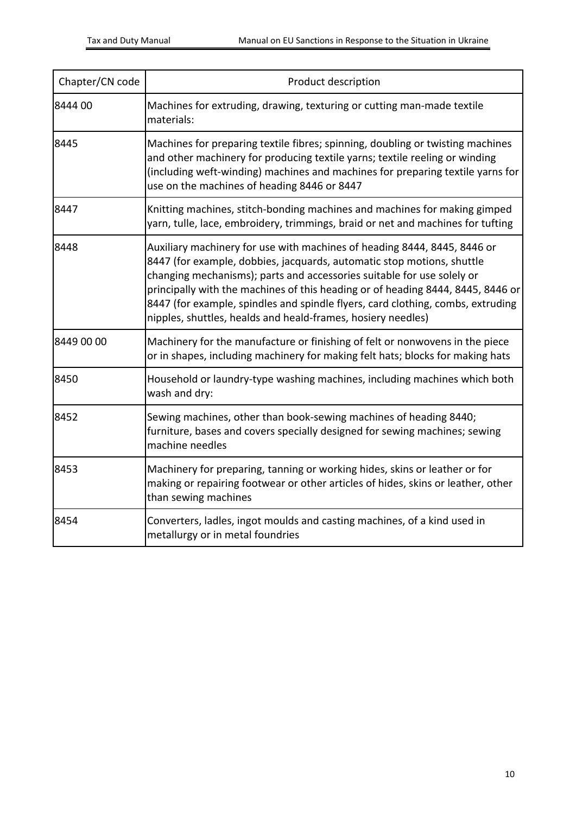| Chapter/CN code | Product description                                                                                                                                                                                                                                                                                                                                                                                                                                                |
|-----------------|--------------------------------------------------------------------------------------------------------------------------------------------------------------------------------------------------------------------------------------------------------------------------------------------------------------------------------------------------------------------------------------------------------------------------------------------------------------------|
| 8444 00         | Machines for extruding, drawing, texturing or cutting man-made textile<br>materials:                                                                                                                                                                                                                                                                                                                                                                               |
| 8445            | Machines for preparing textile fibres; spinning, doubling or twisting machines<br>and other machinery for producing textile yarns; textile reeling or winding<br>(including weft-winding) machines and machines for preparing textile yarns for<br>use on the machines of heading 8446 or 8447                                                                                                                                                                     |
| 8447            | Knitting machines, stitch-bonding machines and machines for making gimped<br>yarn, tulle, lace, embroidery, trimmings, braid or net and machines for tufting                                                                                                                                                                                                                                                                                                       |
| 8448            | Auxiliary machinery for use with machines of heading 8444, 8445, 8446 or<br>8447 (for example, dobbies, jacquards, automatic stop motions, shuttle<br>changing mechanisms); parts and accessories suitable for use solely or<br>principally with the machines of this heading or of heading 8444, 8445, 8446 or<br>8447 (for example, spindles and spindle flyers, card clothing, combs, extruding<br>nipples, shuttles, healds and heald-frames, hosiery needles) |
| 8449 00 00      | Machinery for the manufacture or finishing of felt or nonwovens in the piece<br>or in shapes, including machinery for making felt hats; blocks for making hats                                                                                                                                                                                                                                                                                                     |
| 8450            | Household or laundry-type washing machines, including machines which both<br>wash and dry:                                                                                                                                                                                                                                                                                                                                                                         |
| 8452            | Sewing machines, other than book-sewing machines of heading 8440;<br>furniture, bases and covers specially designed for sewing machines; sewing<br>machine needles                                                                                                                                                                                                                                                                                                 |
| 8453            | Machinery for preparing, tanning or working hides, skins or leather or for<br>making or repairing footwear or other articles of hides, skins or leather, other<br>than sewing machines                                                                                                                                                                                                                                                                             |
| 8454            | Converters, ladles, ingot moulds and casting machines, of a kind used in<br>metallurgy or in metal foundries                                                                                                                                                                                                                                                                                                                                                       |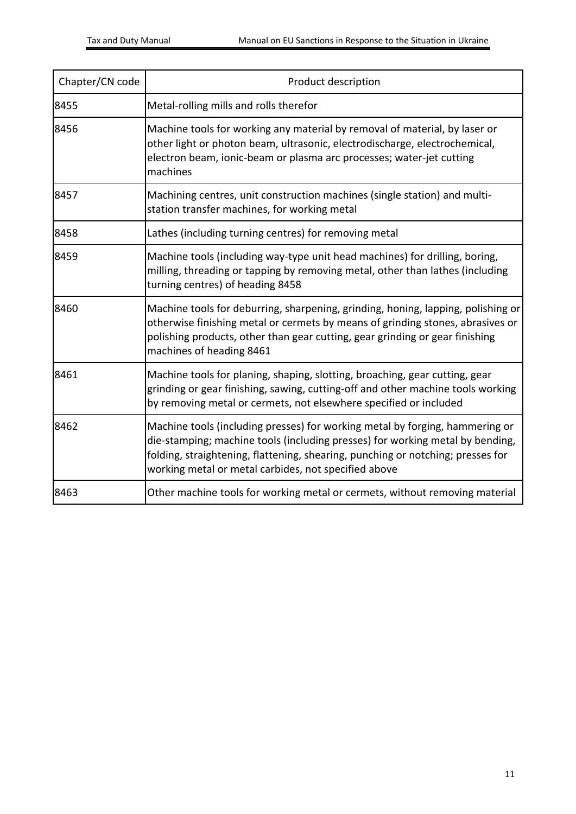| Chapter/CN code | Product description                                                                                                                                                                                                                                                                                      |
|-----------------|----------------------------------------------------------------------------------------------------------------------------------------------------------------------------------------------------------------------------------------------------------------------------------------------------------|
| 8455            | Metal-rolling mills and rolls therefor                                                                                                                                                                                                                                                                   |
| 8456            | Machine tools for working any material by removal of material, by laser or<br>other light or photon beam, ultrasonic, electrodischarge, electrochemical,<br>electron beam, ionic-beam or plasma arc processes; water-jet cutting<br>machines                                                             |
| 8457            | Machining centres, unit construction machines (single station) and multi-<br>station transfer machines, for working metal                                                                                                                                                                                |
| 8458            | Lathes (including turning centres) for removing metal                                                                                                                                                                                                                                                    |
| 8459            | Machine tools (including way-type unit head machines) for drilling, boring,<br>milling, threading or tapping by removing metal, other than lathes (including<br>turning centres) of heading 8458                                                                                                         |
| 8460            | Machine tools for deburring, sharpening, grinding, honing, lapping, polishing or<br>otherwise finishing metal or cermets by means of grinding stones, abrasives or<br>polishing products, other than gear cutting, gear grinding or gear finishing<br>machines of heading 8461                           |
| 8461            | Machine tools for planing, shaping, slotting, broaching, gear cutting, gear<br>grinding or gear finishing, sawing, cutting-off and other machine tools working<br>by removing metal or cermets, not elsewhere specified or included                                                                      |
| 8462            | Machine tools (including presses) for working metal by forging, hammering or<br>die-stamping; machine tools (including presses) for working metal by bending,<br>folding, straightening, flattening, shearing, punching or notching; presses for<br>working metal or metal carbides, not specified above |
| 8463            | Other machine tools for working metal or cermets, without removing material                                                                                                                                                                                                                              |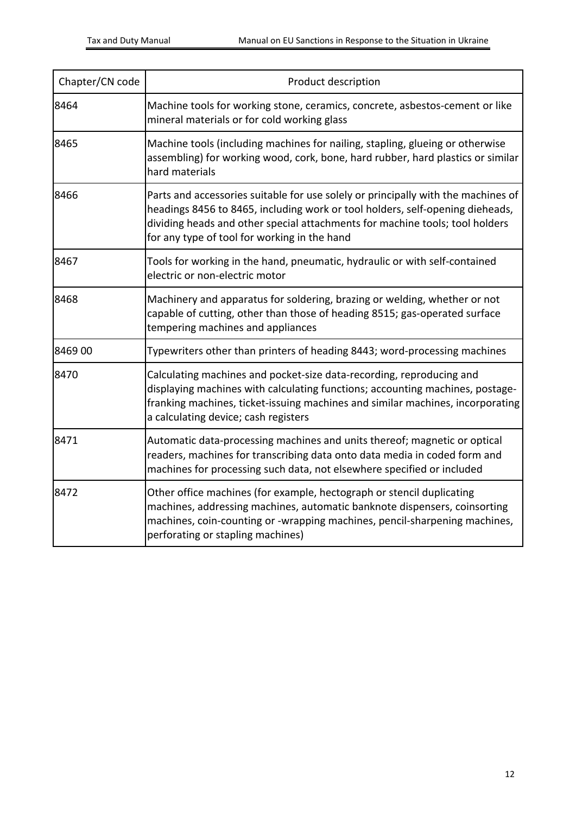| Chapter/CN code | Product description                                                                                                                                                                                                                                                                                |
|-----------------|----------------------------------------------------------------------------------------------------------------------------------------------------------------------------------------------------------------------------------------------------------------------------------------------------|
| 8464            | Machine tools for working stone, ceramics, concrete, asbestos-cement or like<br>mineral materials or for cold working glass                                                                                                                                                                        |
| 8465            | Machine tools (including machines for nailing, stapling, glueing or otherwise<br>assembling) for working wood, cork, bone, hard rubber, hard plastics or similar<br>hard materials                                                                                                                 |
| 8466            | Parts and accessories suitable for use solely or principally with the machines of<br>headings 8456 to 8465, including work or tool holders, self-opening dieheads,<br>dividing heads and other special attachments for machine tools; tool holders<br>for any type of tool for working in the hand |
| 8467            | Tools for working in the hand, pneumatic, hydraulic or with self-contained<br>electric or non-electric motor                                                                                                                                                                                       |
| 8468            | Machinery and apparatus for soldering, brazing or welding, whether or not<br>capable of cutting, other than those of heading 8515; gas-operated surface<br>tempering machines and appliances                                                                                                       |
| 8469 00         | Typewriters other than printers of heading 8443; word-processing machines                                                                                                                                                                                                                          |
| 8470            | Calculating machines and pocket-size data-recording, reproducing and<br>displaying machines with calculating functions; accounting machines, postage-<br>franking machines, ticket-issuing machines and similar machines, incorporating<br>a calculating device; cash registers                    |
| 8471            | Automatic data-processing machines and units thereof; magnetic or optical<br>readers, machines for transcribing data onto data media in coded form and<br>machines for processing such data, not elsewhere specified or included                                                                   |
| 8472            | Other office machines (for example, hectograph or stencil duplicating<br>machines, addressing machines, automatic banknote dispensers, coinsorting<br>machines, coin-counting or -wrapping machines, pencil-sharpening machines,<br>perforating or stapling machines)                              |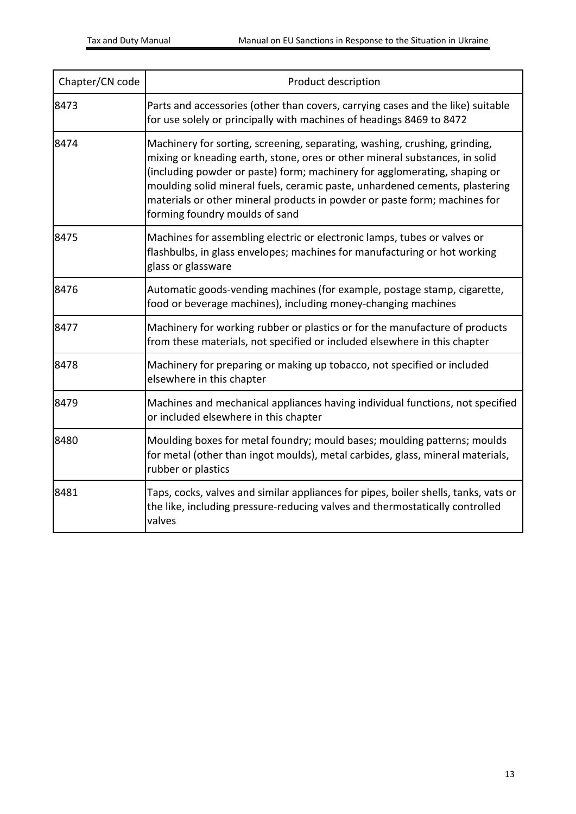| Chapter/CN code | Product description                                                                                                                                                                                                                                                                                                                                                                                                                  |
|-----------------|--------------------------------------------------------------------------------------------------------------------------------------------------------------------------------------------------------------------------------------------------------------------------------------------------------------------------------------------------------------------------------------------------------------------------------------|
| 8473            | Parts and accessories (other than covers, carrying cases and the like) suitable<br>for use solely or principally with machines of headings 8469 to 8472                                                                                                                                                                                                                                                                              |
| 8474            | Machinery for sorting, screening, separating, washing, crushing, grinding,<br>mixing or kneading earth, stone, ores or other mineral substances, in solid<br>(including powder or paste) form; machinery for agglomerating, shaping or<br>moulding solid mineral fuels, ceramic paste, unhardened cements, plastering<br>materials or other mineral products in powder or paste form; machines for<br>forming foundry moulds of sand |
| 8475            | Machines for assembling electric or electronic lamps, tubes or valves or<br>flashbulbs, in glass envelopes; machines for manufacturing or hot working<br>glass or glassware                                                                                                                                                                                                                                                          |
| 8476            | Automatic goods-vending machines (for example, postage stamp, cigarette,<br>food or beverage machines), including money-changing machines                                                                                                                                                                                                                                                                                            |
| 8477            | Machinery for working rubber or plastics or for the manufacture of products<br>from these materials, not specified or included elsewhere in this chapter                                                                                                                                                                                                                                                                             |
| 8478            | Machinery for preparing or making up tobacco, not specified or included<br>elsewhere in this chapter                                                                                                                                                                                                                                                                                                                                 |
| 8479            | Machines and mechanical appliances having individual functions, not specified<br>or included elsewhere in this chapter                                                                                                                                                                                                                                                                                                               |
| 8480            | Moulding boxes for metal foundry; mould bases; moulding patterns; moulds<br>for metal (other than ingot moulds), metal carbides, glass, mineral materials,<br>rubber or plastics                                                                                                                                                                                                                                                     |
| 8481            | Taps, cocks, valves and similar appliances for pipes, boiler shells, tanks, vats or<br>the like, including pressure-reducing valves and thermostatically controlled<br>valves                                                                                                                                                                                                                                                        |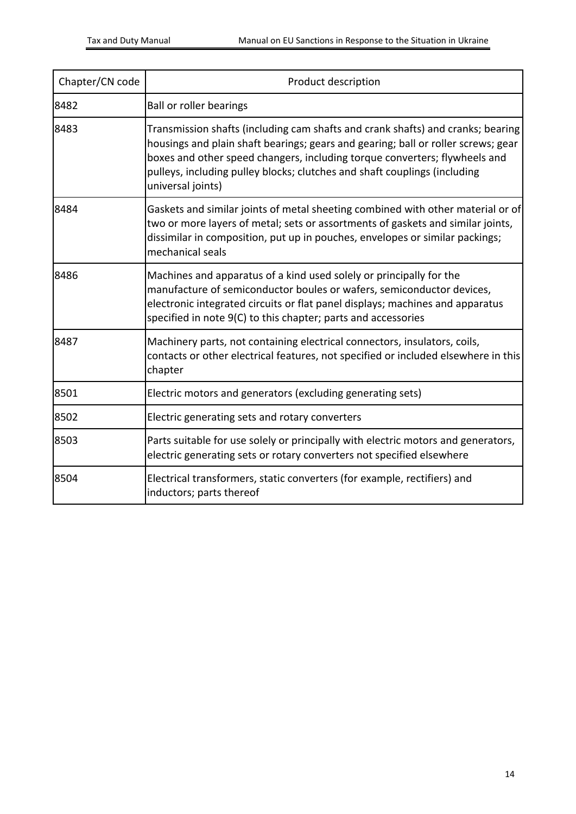| Chapter/CN code | Product description                                                                                                                                                                                                                                                                                                                                  |
|-----------------|------------------------------------------------------------------------------------------------------------------------------------------------------------------------------------------------------------------------------------------------------------------------------------------------------------------------------------------------------|
| 8482            | <b>Ball or roller bearings</b>                                                                                                                                                                                                                                                                                                                       |
| 8483            | Transmission shafts (including cam shafts and crank shafts) and cranks; bearing<br>housings and plain shaft bearings; gears and gearing; ball or roller screws; gear<br>boxes and other speed changers, including torque converters; flywheels and<br>pulleys, including pulley blocks; clutches and shaft couplings (including<br>universal joints) |
| 8484            | Gaskets and similar joints of metal sheeting combined with other material or of<br>two or more layers of metal; sets or assortments of gaskets and similar joints,<br>dissimilar in composition, put up in pouches, envelopes or similar packings;<br>mechanical seals                                                                               |
| 8486            | Machines and apparatus of a kind used solely or principally for the<br>manufacture of semiconductor boules or wafers, semiconductor devices,<br>electronic integrated circuits or flat panel displays; machines and apparatus<br>specified in note 9(C) to this chapter; parts and accessories                                                       |
| 8487            | Machinery parts, not containing electrical connectors, insulators, coils,<br>contacts or other electrical features, not specified or included elsewhere in this<br>chapter                                                                                                                                                                           |
| 8501            | Electric motors and generators (excluding generating sets)                                                                                                                                                                                                                                                                                           |
| 8502            | Electric generating sets and rotary converters                                                                                                                                                                                                                                                                                                       |
| 8503            | Parts suitable for use solely or principally with electric motors and generators,<br>electric generating sets or rotary converters not specified elsewhere                                                                                                                                                                                           |
| 8504            | Electrical transformers, static converters (for example, rectifiers) and<br>inductors; parts thereof                                                                                                                                                                                                                                                 |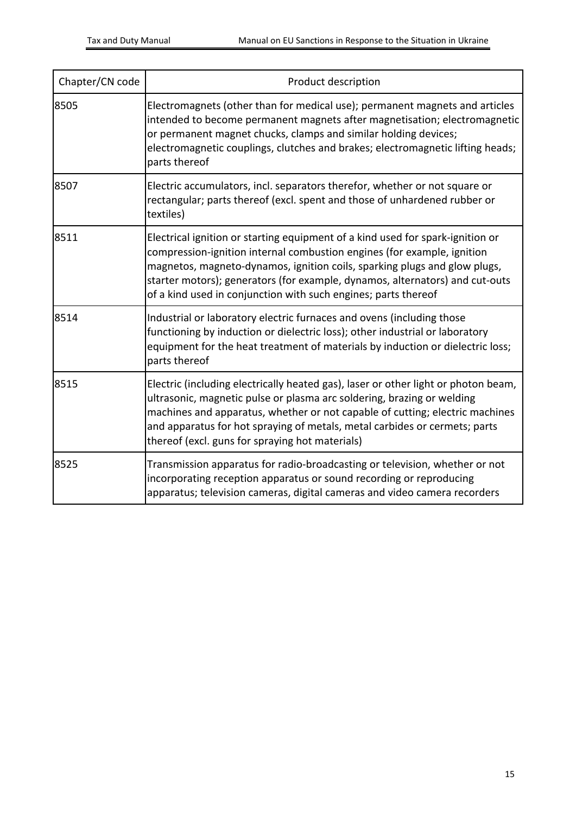| Chapter/CN code | Product description                                                                                                                                                                                                                                                                                                                                                                      |
|-----------------|------------------------------------------------------------------------------------------------------------------------------------------------------------------------------------------------------------------------------------------------------------------------------------------------------------------------------------------------------------------------------------------|
| 8505            | Electromagnets (other than for medical use); permanent magnets and articles<br>intended to become permanent magnets after magnetisation; electromagnetic<br>or permanent magnet chucks, clamps and similar holding devices;<br>electromagnetic couplings, clutches and brakes; electromagnetic lifting heads;<br>parts thereof                                                           |
| 8507            | Electric accumulators, incl. separators therefor, whether or not square or<br>rectangular; parts thereof (excl. spent and those of unhardened rubber or<br>textiles)                                                                                                                                                                                                                     |
| 8511            | Electrical ignition or starting equipment of a kind used for spark-ignition or<br>compression-ignition internal combustion engines (for example, ignition<br>magnetos, magneto-dynamos, ignition coils, sparking plugs and glow plugs,<br>starter motors); generators (for example, dynamos, alternators) and cut-outs<br>of a kind used in conjunction with such engines; parts thereof |
| 8514            | Industrial or laboratory electric furnaces and ovens (including those<br>functioning by induction or dielectric loss); other industrial or laboratory<br>equipment for the heat treatment of materials by induction or dielectric loss;<br>parts thereof                                                                                                                                 |
| 8515            | Electric (including electrically heated gas), laser or other light or photon beam,<br>ultrasonic, magnetic pulse or plasma arc soldering, brazing or welding<br>machines and apparatus, whether or not capable of cutting; electric machines<br>and apparatus for hot spraying of metals, metal carbides or cermets; parts<br>thereof (excl. guns for spraying hot materials)            |
| 8525            | Transmission apparatus for radio-broadcasting or television, whether or not<br>incorporating reception apparatus or sound recording or reproducing<br>apparatus; television cameras, digital cameras and video camera recorders                                                                                                                                                          |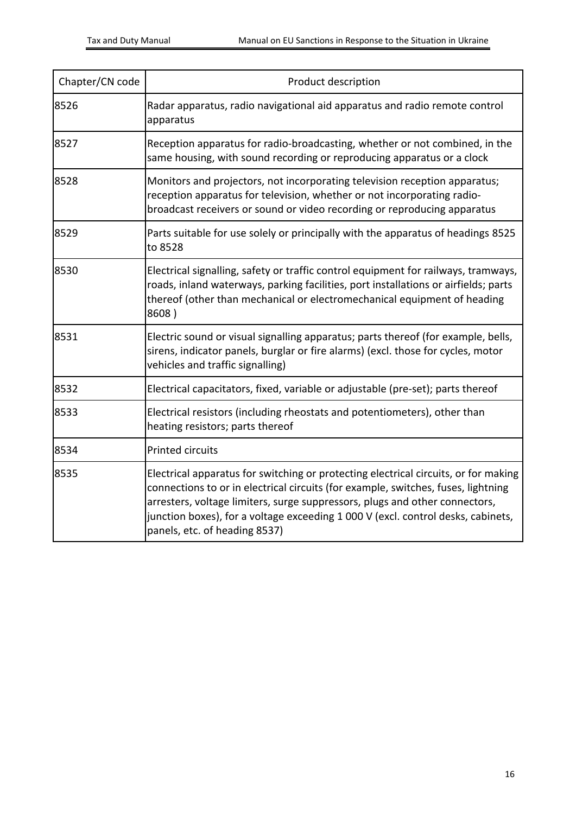| Chapter/CN code | Product description                                                                                                                                                                                                                                                                                                                                                          |  |
|-----------------|------------------------------------------------------------------------------------------------------------------------------------------------------------------------------------------------------------------------------------------------------------------------------------------------------------------------------------------------------------------------------|--|
| 8526            | Radar apparatus, radio navigational aid apparatus and radio remote control<br>apparatus                                                                                                                                                                                                                                                                                      |  |
| 8527            | Reception apparatus for radio-broadcasting, whether or not combined, in the<br>same housing, with sound recording or reproducing apparatus or a clock                                                                                                                                                                                                                        |  |
| 8528            | Monitors and projectors, not incorporating television reception apparatus;<br>reception apparatus for television, whether or not incorporating radio-<br>broadcast receivers or sound or video recording or reproducing apparatus                                                                                                                                            |  |
| 8529            | Parts suitable for use solely or principally with the apparatus of headings 8525<br>to 8528                                                                                                                                                                                                                                                                                  |  |
| 8530            | Electrical signalling, safety or traffic control equipment for railways, tramways,<br>roads, inland waterways, parking facilities, port installations or airfields; parts<br>thereof (other than mechanical or electromechanical equipment of heading<br>8608)                                                                                                               |  |
| 8531            | Electric sound or visual signalling apparatus; parts thereof (for example, bells,<br>sirens, indicator panels, burglar or fire alarms) (excl. those for cycles, motor<br>vehicles and traffic signalling)                                                                                                                                                                    |  |
| 8532            | Electrical capacitators, fixed, variable or adjustable (pre-set); parts thereof                                                                                                                                                                                                                                                                                              |  |
| 8533            | Electrical resistors (including rheostats and potentiometers), other than<br>heating resistors; parts thereof                                                                                                                                                                                                                                                                |  |
| 8534            | <b>Printed circuits</b>                                                                                                                                                                                                                                                                                                                                                      |  |
| 8535            | Electrical apparatus for switching or protecting electrical circuits, or for making<br>connections to or in electrical circuits (for example, switches, fuses, lightning<br>arresters, voltage limiters, surge suppressors, plugs and other connectors,<br>junction boxes), for a voltage exceeding 1 000 V (excl. control desks, cabinets,<br>panels, etc. of heading 8537) |  |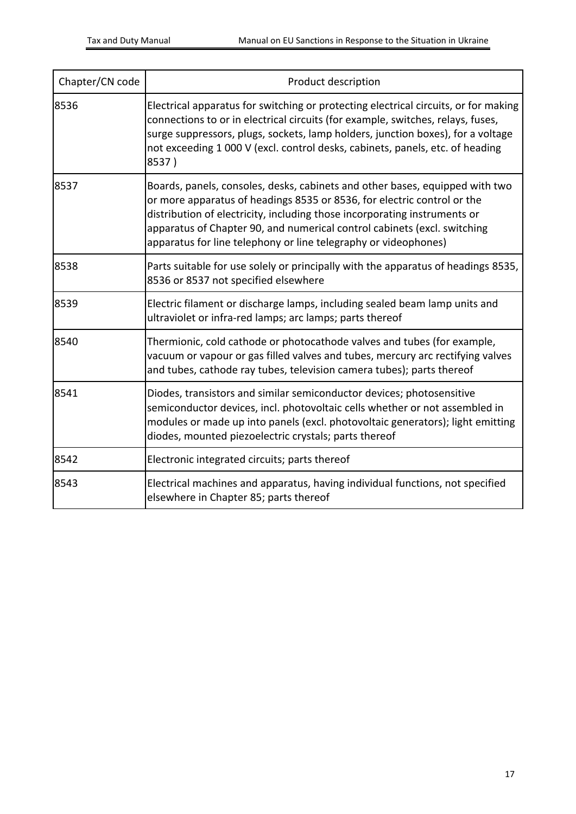| Chapter/CN code | Product description                                                                                                                                                                                                                                                                                                                                                                 |  |
|-----------------|-------------------------------------------------------------------------------------------------------------------------------------------------------------------------------------------------------------------------------------------------------------------------------------------------------------------------------------------------------------------------------------|--|
| 8536            | Electrical apparatus for switching or protecting electrical circuits, or for making<br>connections to or in electrical circuits (for example, switches, relays, fuses,<br>surge suppressors, plugs, sockets, lamp holders, junction boxes), for a voltage<br>not exceeding 1 000 V (excl. control desks, cabinets, panels, etc. of heading<br>8537)                                 |  |
| 8537            | Boards, panels, consoles, desks, cabinets and other bases, equipped with two<br>or more apparatus of headings 8535 or 8536, for electric control or the<br>distribution of electricity, including those incorporating instruments or<br>apparatus of Chapter 90, and numerical control cabinets (excl. switching<br>apparatus for line telephony or line telegraphy or videophones) |  |
| 8538            | Parts suitable for use solely or principally with the apparatus of headings 8535,<br>8536 or 8537 not specified elsewhere                                                                                                                                                                                                                                                           |  |
| 8539            | Electric filament or discharge lamps, including sealed beam lamp units and<br>ultraviolet or infra-red lamps; arc lamps; parts thereof                                                                                                                                                                                                                                              |  |
| 8540            | Thermionic, cold cathode or photocathode valves and tubes (for example,<br>vacuum or vapour or gas filled valves and tubes, mercury arc rectifying valves<br>and tubes, cathode ray tubes, television camera tubes); parts thereof                                                                                                                                                  |  |
| 8541            | Diodes, transistors and similar semiconductor devices; photosensitive<br>semiconductor devices, incl. photovoltaic cells whether or not assembled in<br>modules or made up into panels (excl. photovoltaic generators); light emitting<br>diodes, mounted piezoelectric crystals; parts thereof                                                                                     |  |
| 8542            | Electronic integrated circuits; parts thereof                                                                                                                                                                                                                                                                                                                                       |  |
| 8543            | Electrical machines and apparatus, having individual functions, not specified<br>elsewhere in Chapter 85; parts thereof                                                                                                                                                                                                                                                             |  |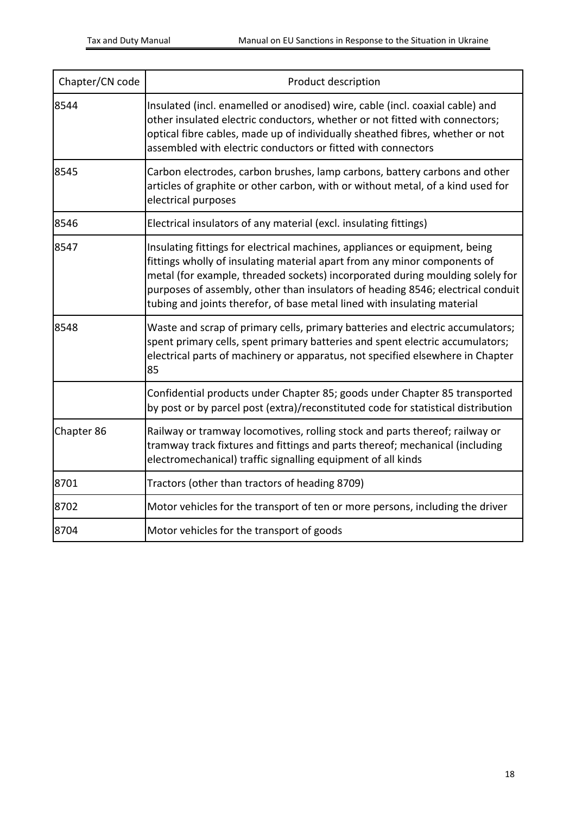| Chapter/CN code | Product description                                                                                                                                                                                                                                                                                                                                                                                      |  |
|-----------------|----------------------------------------------------------------------------------------------------------------------------------------------------------------------------------------------------------------------------------------------------------------------------------------------------------------------------------------------------------------------------------------------------------|--|
| 8544            | Insulated (incl. enamelled or anodised) wire, cable (incl. coaxial cable) and<br>other insulated electric conductors, whether or not fitted with connectors;<br>optical fibre cables, made up of individually sheathed fibres, whether or not<br>assembled with electric conductors or fitted with connectors                                                                                            |  |
| 8545            | Carbon electrodes, carbon brushes, lamp carbons, battery carbons and other<br>articles of graphite or other carbon, with or without metal, of a kind used for<br>electrical purposes                                                                                                                                                                                                                     |  |
| 8546            | Electrical insulators of any material (excl. insulating fittings)                                                                                                                                                                                                                                                                                                                                        |  |
| 8547            | Insulating fittings for electrical machines, appliances or equipment, being<br>fittings wholly of insulating material apart from any minor components of<br>metal (for example, threaded sockets) incorporated during moulding solely for<br>purposes of assembly, other than insulators of heading 8546; electrical conduit<br>tubing and joints therefor, of base metal lined with insulating material |  |
| 8548            | Waste and scrap of primary cells, primary batteries and electric accumulators;<br>spent primary cells, spent primary batteries and spent electric accumulators;<br>electrical parts of machinery or apparatus, not specified elsewhere in Chapter<br>85                                                                                                                                                  |  |
|                 | Confidential products under Chapter 85; goods under Chapter 85 transported<br>by post or by parcel post (extra)/reconstituted code for statistical distribution                                                                                                                                                                                                                                          |  |
| Chapter 86      | Railway or tramway locomotives, rolling stock and parts thereof; railway or<br>tramway track fixtures and fittings and parts thereof; mechanical (including<br>electromechanical) traffic signalling equipment of all kinds                                                                                                                                                                              |  |
| 8701            | Tractors (other than tractors of heading 8709)                                                                                                                                                                                                                                                                                                                                                           |  |
| 8702            | Motor vehicles for the transport of ten or more persons, including the driver                                                                                                                                                                                                                                                                                                                            |  |
| 8704            | Motor vehicles for the transport of goods                                                                                                                                                                                                                                                                                                                                                                |  |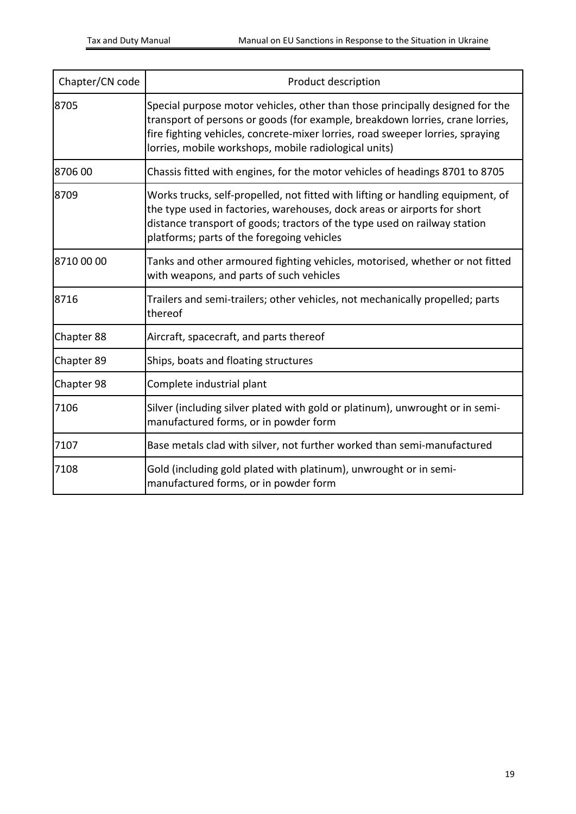| Chapter/CN code | Product description                                                                                                                                                                                                                                                                                       |  |
|-----------------|-----------------------------------------------------------------------------------------------------------------------------------------------------------------------------------------------------------------------------------------------------------------------------------------------------------|--|
| 8705            | Special purpose motor vehicles, other than those principally designed for the<br>transport of persons or goods (for example, breakdown lorries, crane lorries,<br>fire fighting vehicles, concrete-mixer lorries, road sweeper lorries, spraying<br>lorries, mobile workshops, mobile radiological units) |  |
| 8706 00         | Chassis fitted with engines, for the motor vehicles of headings 8701 to 8705                                                                                                                                                                                                                              |  |
| 8709            | Works trucks, self-propelled, not fitted with lifting or handling equipment, of<br>the type used in factories, warehouses, dock areas or airports for short<br>distance transport of goods; tractors of the type used on railway station<br>platforms; parts of the foregoing vehicles                    |  |
| 8710 00 00      | Tanks and other armoured fighting vehicles, motorised, whether or not fitted<br>with weapons, and parts of such vehicles                                                                                                                                                                                  |  |
| 8716            | Trailers and semi-trailers; other vehicles, not mechanically propelled; parts<br>thereof                                                                                                                                                                                                                  |  |
| Chapter 88      | Aircraft, spacecraft, and parts thereof                                                                                                                                                                                                                                                                   |  |
| Chapter 89      | Ships, boats and floating structures                                                                                                                                                                                                                                                                      |  |
| Chapter 98      | Complete industrial plant                                                                                                                                                                                                                                                                                 |  |
| 7106            | Silver (including silver plated with gold or platinum), unwrought or in semi-<br>manufactured forms, or in powder form                                                                                                                                                                                    |  |
| 7107            | Base metals clad with silver, not further worked than semi-manufactured                                                                                                                                                                                                                                   |  |
| 7108            | Gold (including gold plated with platinum), unwrought or in semi-<br>manufactured forms, or in powder form                                                                                                                                                                                                |  |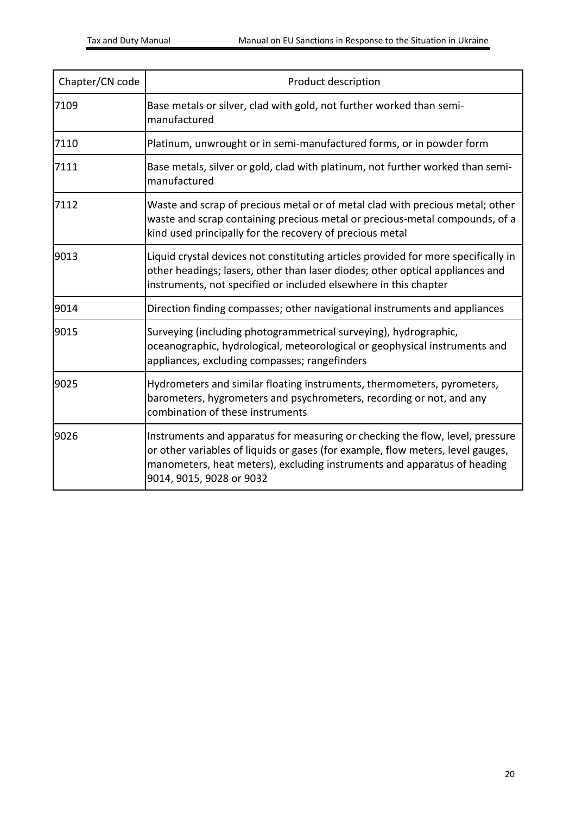| Chapter/CN code | Product description                                                                                                                                                                                                                                                      |  |
|-----------------|--------------------------------------------------------------------------------------------------------------------------------------------------------------------------------------------------------------------------------------------------------------------------|--|
| 7109            | Base metals or silver, clad with gold, not further worked than semi-<br>manufactured                                                                                                                                                                                     |  |
| 7110            | Platinum, unwrought or in semi-manufactured forms, or in powder form                                                                                                                                                                                                     |  |
| 7111            | Base metals, silver or gold, clad with platinum, not further worked than semi-<br>manufactured                                                                                                                                                                           |  |
| 7112            | Waste and scrap of precious metal or of metal clad with precious metal; other<br>waste and scrap containing precious metal or precious-metal compounds, of a<br>kind used principally for the recovery of precious metal                                                 |  |
| 9013            | Liquid crystal devices not constituting articles provided for more specifically in<br>other headings; lasers, other than laser diodes; other optical appliances and<br>instruments, not specified or included elsewhere in this chapter                                  |  |
| 9014            | Direction finding compasses; other navigational instruments and appliances                                                                                                                                                                                               |  |
| 9015            | Surveying (including photogrammetrical surveying), hydrographic,<br>oceanographic, hydrological, meteorological or geophysical instruments and<br>appliances, excluding compasses; rangefinders                                                                          |  |
| 9025            | Hydrometers and similar floating instruments, thermometers, pyrometers,<br>barometers, hygrometers and psychrometers, recording or not, and any<br>combination of these instruments                                                                                      |  |
| 9026            | Instruments and apparatus for measuring or checking the flow, level, pressure<br>or other variables of liquids or gases (for example, flow meters, level gauges,<br>manometers, heat meters), excluding instruments and apparatus of heading<br>9014, 9015, 9028 or 9032 |  |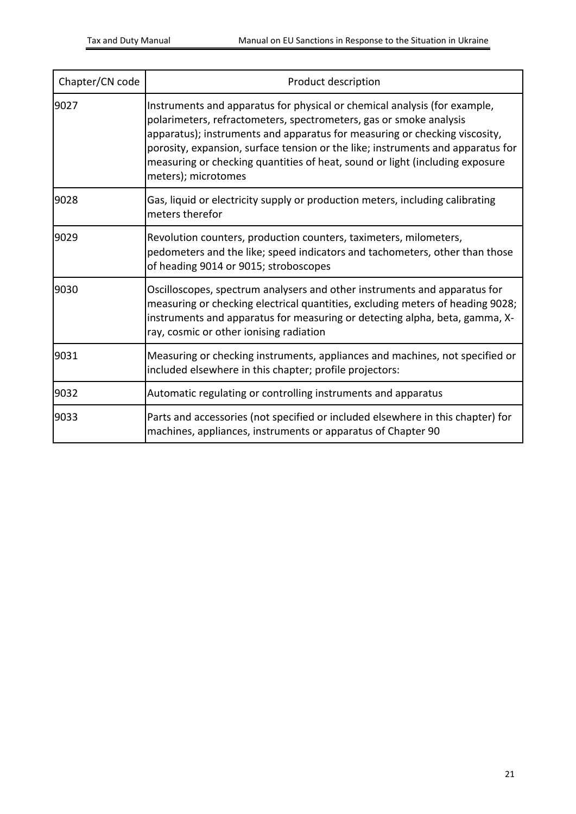| Chapter/CN code | Product description                                                                                                                                                                                                                                                                                                                                                                                                     |  |
|-----------------|-------------------------------------------------------------------------------------------------------------------------------------------------------------------------------------------------------------------------------------------------------------------------------------------------------------------------------------------------------------------------------------------------------------------------|--|
| 9027            | Instruments and apparatus for physical or chemical analysis (for example,<br>polarimeters, refractometers, spectrometers, gas or smoke analysis<br>apparatus); instruments and apparatus for measuring or checking viscosity,<br>porosity, expansion, surface tension or the like; instruments and apparatus for<br>measuring or checking quantities of heat, sound or light (including exposure<br>meters); microtomes |  |
| 9028            | Gas, liquid or electricity supply or production meters, including calibrating<br>meters therefor                                                                                                                                                                                                                                                                                                                        |  |
| 9029            | Revolution counters, production counters, taximeters, milometers,<br>pedometers and the like; speed indicators and tachometers, other than those<br>of heading 9014 or 9015; stroboscopes                                                                                                                                                                                                                               |  |
| 9030            | Oscilloscopes, spectrum analysers and other instruments and apparatus for<br>measuring or checking electrical quantities, excluding meters of heading 9028;<br>instruments and apparatus for measuring or detecting alpha, beta, gamma, X-<br>ray, cosmic or other ionising radiation                                                                                                                                   |  |
| 9031            | Measuring or checking instruments, appliances and machines, not specified or<br>included elsewhere in this chapter; profile projectors:                                                                                                                                                                                                                                                                                 |  |
| 9032            | Automatic regulating or controlling instruments and apparatus                                                                                                                                                                                                                                                                                                                                                           |  |
| 9033            | Parts and accessories (not specified or included elsewhere in this chapter) for<br>machines, appliances, instruments or apparatus of Chapter 90                                                                                                                                                                                                                                                                         |  |